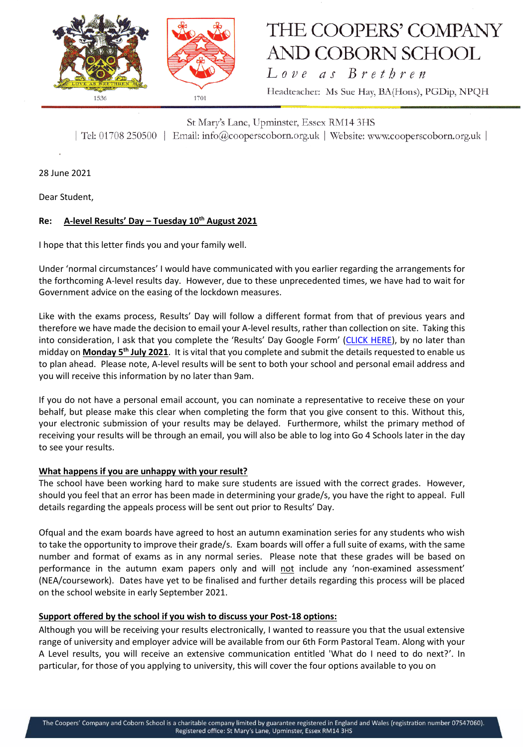

# THE COOPERS' COMPANY **AND COBORN SCHOOL**

Love as Brethren Headteacher: Ms Sue Hay, BA(Hons), PGDip, NPQH

St Mary's Lane, Upminster, Essex RM14 3HS | Tel: 01708 250500 | Email: info@cooperscoborn.org.uk | Website: www.cooperscoborn.org.uk |

28 June 2021

Dear Student,

### **Re: A-level Results' Day – Tuesday 10th August 2021**

I hope that this letter finds you and your family well.

Under 'normal circumstances' I would have communicated with you earlier regarding the arrangements for the forthcoming A-level results day. However, due to these unprecedented times, we have had to wait for Government advice on the easing of the lockdown measures.

Like with the exams process, Results' Day will follow a different format from that of previous years and therefore we have made the decision to email your A-level results, rather than collection on site. Taking this into consideration, I ask that you complete the 'Results' Day Google Form' ([CLICK HERE\)](https://forms.gle/aTYDhwpp6bBbRDPF9), by no later than midday on **Monday 5th July 2021**. It is vital that you complete and submit the details requested to enable us to plan ahead. Please note, A-level results will be sent to both your school and personal email address and you will receive this information by no later than 9am.

If you do not have a personal email account, you can nominate a representative to receive these on your behalf, but please make this clear when completing the form that you give consent to this. Without this, your electronic submission of your results may be delayed. Furthermore, whilst the primary method of receiving your results will be through an email, you will also be able to log into Go 4 Schools later in the day to see your results.

#### **What happens if you are unhappy with your result?**

The school have been working hard to make sure students are issued with the correct grades. However, should you feel that an error has been made in determining your grade/s, you have the right to appeal. Full details regarding the appeals process will be sent out prior to Results' Day.

Ofqual and the exam boards have agreed to host an autumn examination series for any students who wish to take the opportunity to improve their grade/s. Exam boards will offer a full suite of exams, with the same number and format of exams as in any normal series. Please note that these grades will be based on performance in the autumn exam papers only and will not include any 'non-examined assessment' (NEA/coursework). Dates have yet to be finalised and further details regarding this process will be placed on the school website in early September 2021.

#### **Support offered by the school if you wish to discuss your Post-18 options:**

Although you will be receiving your results electronically, I wanted to reassure you that the usual extensive range of university and employer advice will be available from our 6th Form Pastoral Team. Along with your A Level results, you will receive an extensive communication entitled 'What do I need to do next?'. In particular, for those of you applying to university, this will cover the four options available to you on